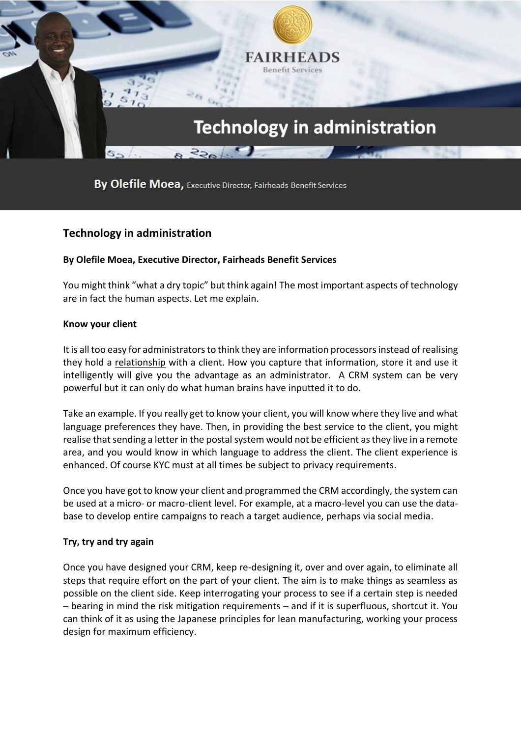

By Olefile Moea, Executive Director, Fairheads Benefit Services

# **Technology in administration**

## **By Olefile Moea, Executive Director, Fairheads Benefit Services**

You might think "what a dry topic" but think again! The most important aspects of technology are in fact the human aspects. Let me explain.

#### **Know your client**

It is all too easy for administrators to think they are information processors instead of realising they hold a relationship with a client. How you capture that information, store it and use it intelligently will give you the advantage as an administrator. A CRM system can be very powerful but it can only do what human brains have inputted it to do.

Take an example. If you really get to know your client, you will know where they live and what language preferences they have. Then, in providing the best service to the client, you might realise that sending a letter in the postal system would not be efficient as they live in a remote area, and you would know in which language to address the client. The client experience is enhanced. Of course KYC must at all times be subject to privacy requirements.

Once you have got to know your client and programmed the CRM accordingly, the system can be used at a micro- or macro-client level. For example, at a macro-level you can use the database to develop entire campaigns to reach a target audience, perhaps via social media.

## **Try, try and try again**

Once you have designed your CRM, keep re-designing it, over and over again, to eliminate all steps that require effort on the part of your client. The aim is to make things as seamless as possible on the client side. Keep interrogating your process to see if a certain step is needed – bearing in mind the risk mitigation requirements – and if it is superfluous, shortcut it. You can think of it as using the Japanese principles for lean manufacturing, working your process design for maximum efficiency.